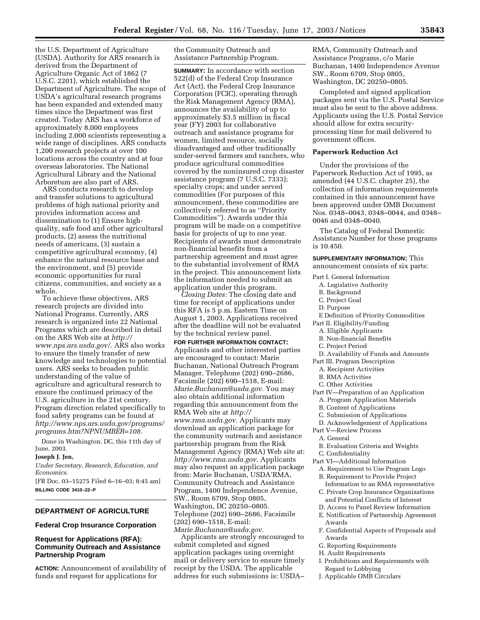the U.S. Department of Agriculture (USDA). Authority for ARS research is derived from the Department of Agriculture Organic Act of 1862 (7 U.S.C. 2201), which established the Department of Agriculture. The scope of USDA's agricultural research programs has been expanded and extended many times since the Department was first created. Today ARS has a workforce of approximately 8,000 employees including 2,000 scientists representing a wide range of disciplines. ARS conducts 1,200 research projects at over 100 locations across the country and at four overseas laboratories. The National Agricultural Library and the National Arboretum are also part of ARS.

ARS conducts research to develop and transfer solutions to agricultural problems of high national priority and provides information access and dissemination to (1) Ensure highquality, safe food and other agricultural products, (2) assess the nutritional needs of americans, (3) sustain a competitive agricultural economy, (4) enhance the natural resource base and the environment, and (5) provide economic opportunities for rural citizens, communities, and society as a whole.

To achieve these objectives, ARS research projects are divided into National Programs. Currently, ARS research is organized into 22 National Programs which are described in detail on the ARS Web site at *http:// www.nps.ars.usda.gov/.* ARS also works to ensure the timely transfer of new knowledge and technologies to potential users. ARS seeks to broaden public understanding of the value of agriculture and agricultural research to ensure the continued primacy of the U.S. agriculture in the 21st century. Program direction related specifically to food safety programs can be found at *http://www.nps.ars.usda.gov/programs/ programs.htm?NPNUMBER=108.*

Done in Washington, DC, this 11th day of June, 2003.

# **Joseph J. Jen,**

*Under Secretary, Research, Education, and Economics.*

[FR Doc. 03–15275 Filed 6–16–03; 8:45 am] **BILLING CODE 3410–22–P**

# **DEPARTMENT OF AGRICULTURE**

### **Federal Crop Insurance Corporation**

# **Request for Applications (RFA): Community Outreach and Assistance Partnership Program**

**ACTION:** Announcement of availability of funds and request for applications for

the Community Outreach and Assistance Partnership Program.

**SUMMARY:** In accordance with section 522(d) of the Federal Crop Insurance Act (Act), the Federal Crop Insurance Corporation (FCIC), operating through the Risk Management Agency (RMA), announces the availability of up to approximately \$3.5 million in fiscal year (FY) 2003 for collaborative outreach and assistance programs for women, limited resource, socially disadvantaged and other traditionally under-served farmers and ranchers, who produce agricultural commodities covered by the noninsured crop disaster assistance program (7 U.S.C. 7333); specialty crops; and under served commodities (For purposes of this announcement, these commodities are collectively referred to as ''Priority Commodities''). Awards under this program will be made on a competitive basis for projects of up to one year. Recipients of awards must demonstrate non-financial benefits from a partnership agreement and must agree to the substantial involvement of RMA in the project. This announcement lists the information needed to submit an application under this program.

*Closing Dates:* The closing date and time for receipt of applications under this RFA is 5 p.m. Eastern Time on August 1, 2003. Applications received after the deadline will not be evaluated by the technical review panel.

#### **FOR FURTHER INFORMATION CONTACT:**

Applicants and other interested parties are encouraged to contact: Marie Buchanan, National Outreach Program Manager, Telephone (202) 690–2686, Facsimile (202) 690–1518, E-mail: *Marie.Buchanan@usda.gov.* You may also obtain additional information regarding this announcement from the RMA Web site at *http:// www.rma.usda.gov.* Applicants may download an application package for the community outreach and assistance partnership program from the Risk Management Agency (RMA) Web site at: *http://www.rma.usda.gov.* Applicants may also request an application package from: Marie Buchanan, USDA'RMA, Community Outreach and Assistance Program, 1400 Independence Avenue, SW., Room 6709, Stop 0805, Washington, DC 20250–0805. Telephone (202) 690–2686, Facsimile (202) 690–1518, E-mail: *Marie.Buchanan@usda.gov.*

Applicants are strongly encouraged to submit completed and signed application packages using overnight mail or delivery service to ensure timely receipt by the USDA. The applicable address for such submissions is: USDA–

RMA, Community Outreach and Assistance Programs, c/o Marie Buchanan, 1400 Independence Avenue SW., Room 6709, Stop 0805, Washington, DC 20250–0805.

Completed and signed application packages sent via the U.S. Postal Service must also be sent to the above address. Applicants using the U.S. Postal Service should allow for extra securityprocessing time for mail delivered to government offices.

#### **Paperwork Reduction Act**

Under the provisions of the Paperwork Reduction Act of 1995, as amended (44 U.S.C. chapter 25), the collection of information requirements contained in this announcement have been approved under OMB Document Nos. 0348–0043, 0348–0044, and 0348– 0046 and 0348–0040.

The Catalog of Federal Domestic Assistance Number for these programs is 10.450.

# **SUPPLEMENTARY INFORMATION:** This

announcement consists of six parts:

- Part I. General Information
	- A. Legislative Authority
	- B. Background
	- C. Project Goal
	- D. Purpose

E Definition of Priority Commodities

Part II. Eligibility/Funding

- A. Eligible Applicants
- B. Non-financial Benefits
- C. Project Period
- D. Availability of Funds and Amounts
- Part III. Program Description
	- A. Recipient Activities
	- B. RMA Activities
- C. Other Activities
- Part IV—Preparation of an Application
	- A. Program Application Materials
	- B. Content of Applications
	- C. Submission of Applications
	- D. Acknowledgement of Applications
- Part V—Review Process
	- A. General
	- B. Evaluation Criteria and Weights
	- C. Confidentiality
- Part VI—Additional Information
	- A. Requirement to Use Program Logo
	- B. Requirement to Provide Project
	- Information to an RMA representative
	- C. Private Crop Insurance Organizations and Potential Conflicts of Interest
	- D. Access to Panel Review Information
	- E. Notification of Partnership Agreement Awards
	- F. Confidential Aspects of Proposals and Awards
	- G. Reporting Requirements
	- H. Audit Requirements
	- I. Prohibitions and Requirements with Regard to Lobbying
	- J. Applicable OMB Circulars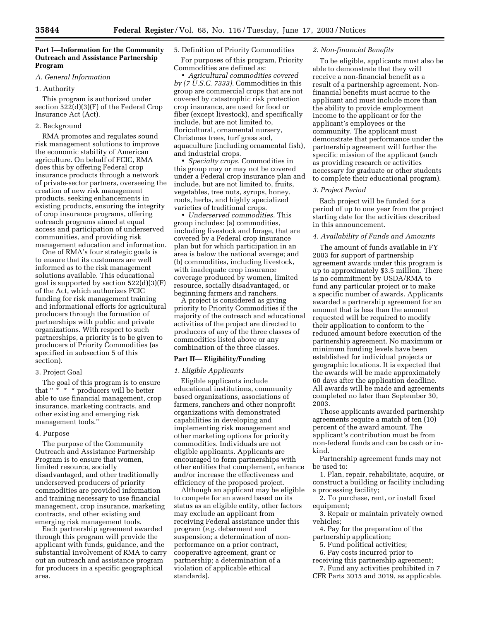# **Part I—Information for the Community Outreach and Assistance Partnership Program**

### *A. General Information*

# 1. Authority

This program is authorized under section 522(d)(3)(F) of the Federal Crop Insurance Act (Act).

#### 2. Background

RMA promotes and regulates sound risk management solutions to improve the economic stability of American agriculture. On behalf of FCIC, RMA does this by offering Federal crop insurance products through a network of private-sector partners, overseeing the creation of new risk management products, seeking enhancements in existing products, ensuring the integrity of crop insurance programs, offering outreach programs aimed at equal access and participation of underserved communities, and providing risk management education and information.

One of RMA's four strategic goals is to ensure that its customers are well informed as to the risk management solutions available. This educational goal is supported by section 522(d)(3)(F) of the Act, which authorizes FCIC funding for risk management training and informational efforts for agricultural producers through the formation of partnerships with public and private organizations. With respect to such partnerships, a priority is to be given to producers of Priority Commodities (as specified in subsection 5 of this section).

#### 3. Project Goal

The goal of this program is to ensure that '' \* \* \* producers will be better able to use financial management, crop insurance, marketing contracts, and other existing and emerging risk management tools.''

### 4. Purpose

The purpose of the Community Outreach and Assistance Partnership Program is to ensure that women, limited resource, socially disadvantaged, and other traditionally underserved producers of priority commodities are provided information and training necessary to use financial management, crop insurance, marketing contracts, and other existing and emerging risk management tools.

Each partnership agreement awarded through this program will provide the applicant with funds, guidance, and the substantial involvement of RMA to carry out an outreach and assistance program for producers in a specific geographical area.

#### 5. Definition of Priority Commodities

For purposes of this program, Priority Commodities are defined as:

• *Agricultural commodities covered by (7 U.S.C. 7333).* Commodities in this group are commercial crops that are not covered by catastrophic risk protection crop insurance, are used for food or fiber (except livestock), and specifically include, but are not limited to, floricultural, ornamental nursery, Christmas trees, turf grass sod, aquaculture (including ornamental fish), and industrial crops.

• *Specialty crops.* Commodities in this group may or may not be covered under a Federal crop insurance plan and include, but are not limited to, fruits, vegetables, tree nuts, syrups, honey, roots, herbs, and highly specialized varieties of traditional crops.

• *Underserved commodities.* This group includes: (a) commodities, including livestock and forage, that are covered by a Federal crop insurance plan but for which participation in an area is below the national average; and (b) commodities, including livestock, with inadequate crop insurance coverage produced by women, limited resource, socially disadvantaged, or beginning farmers and ranchers.

A project is considered as giving priority to Priority Commodities if the majority of the outreach and educational activities of the project are directed to producers of any of the three classes of commodities listed above or any combination of the three classes.

### **Part II— Eligibility/Funding**

## *1. Eligible Applicants*

Eligible applicants include educational institutions, community based organizations, associations of farmers, ranchers and other nonprofit organizations with demonstrated capabilities in developing and implementing risk management and other marketing options for priority commodities. Individuals are not eligible applicants. Applicants are encouraged to form partnerships with other entities that complement, enhance and/or increase the effectiveness and efficiency of the proposed project.

Although an applicant may be eligible to compete for an award based on its status as an eligible entity, other factors may exclude an applicant from receiving Federal assistance under this program (*e.g.* debarment and suspension; a determination of nonperformance on a prior contract, cooperative agreement, grant or partnership; a determination of a violation of applicable ethical standards).

#### *2. Non-financial Benefits*

To be eligible, applicants must also be able to demonstrate that they will receive a non-financial benefit as a result of a partnership agreement. Nonfinancial benefits must accrue to the applicant and must include more than the ability to provide employment income to the applicant or for the applicant's employees or the community. The applicant must demonstrate that performance under the partnership agreement will further the specific mission of the applicant (such as providing research or activities necessary for graduate or other students to complete their educational program).

#### *3. Project Period*

Each project will be funded for a period of up to one year from the project starting date for the activities described in this announcement.

#### *4. Availability of Funds and Amounts*

The amount of funds available in FY 2003 for support of partnership agreement awards under this program is up to approximately \$3.5 million. There is no commitment by USDA/RMA to fund any particular project or to make a specific number of awards. Applicants awarded a partnership agreement for an amount that is less than the amount requested will be required to modify their application to conform to the reduced amount before execution of the partnership agreement. No maximum or minimum funding levels have been established for individual projects or geographic locations. It is expected that the awards will be made approximately 60 days after the application deadline. All awards will be made and agreements completed no later than September 30, 2003.

Those applicants awarded partnership agreements require a match of ten (10) percent of the award amount. The applicant's contribution must be from non-federal funds and can be cash or inkind.

Partnership agreement funds may not be used to:

1. Plan, repair, rehabilitate, acquire, or construct a building or facility including a processing facility;

2. To purchase, rent, or install fixed equipment;

3. Repair or maintain privately owned vehicles;

4. Pay for the preparation of the partnership application;

5. Fund political activities;

6. Pay costs incurred prior to

receiving this partnership agreement; 7. Fund any activities prohibited in 7

CFR Parts 3015 and 3019, as applicable.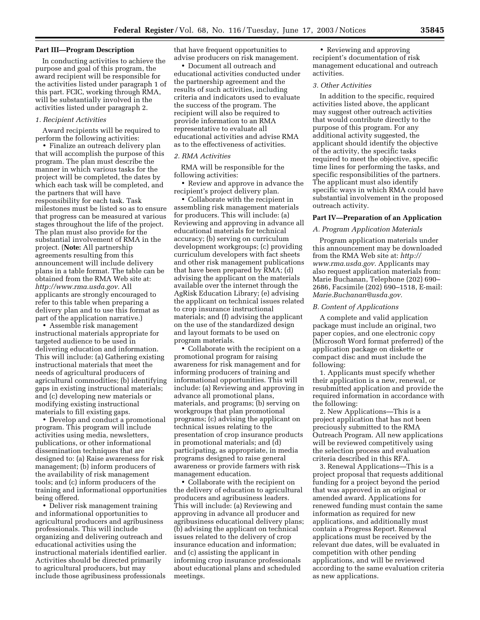### **Part III—Program Description**

In conducting activities to achieve the purpose and goal of this program, the award recipient will be responsible for the activities listed under paragraph 1 of this part. FCIC, working through RMA, will be substantially involved in the activities listed under paragraph 2.

### *1. Recipient Activities*

Award recipients will be required to perform the following activities:

• Finalize an outreach delivery plan that will accomplish the purpose of this program. The plan must describe the manner in which various tasks for the project will be completed, the dates by which each task will be completed, and the partners that will have responsibility for each task. Task milestones must be listed so as to ensure that progress can be measured at various stages throughout the life of the project. The plan must also provide for the substantial involvement of RMA in the project. (**Note:** All partnership agreements resulting from this announcement will include delivery plans in a table format. The table can be obtained from the RMA Web site at: *http://www.rma.usda.gov.* All applicants are strongly encouraged to refer to this table when preparing a delivery plan and to use this format as part of the application narrative.)

• Assemble risk management instructional materials appropriate for targeted audience to be used in delivering education and information. This will include: (a) Gathering existing instructional materials that meet the needs of agricultural producers of agricultural commodities; (b) identifying gaps in existing instructional materials; and (c) developing new materials or modifying existing instructional materials to fill existing gaps.

• Develop and conduct a promotional program. This program will include activities using media, newsletters, publications, or other informational dissemination techniques that are designed to: (a) Raise awareness for risk management; (b) inform producers of the availability of risk management tools; and (c) inform producers of the training and informational opportunities being offered.

• Deliver risk management training and informational opportunities to agricultural producers and agribusiness professionals. This will include organizing and delivering outreach and educational activities using the instructional materials identified earlier. Activities should be directed primarily to agricultural producers, but may include those agribusiness professionals

that have frequent opportunities to advise producers on risk management.

• Document all outreach and educational activities conducted under the partnership agreement and the results of such activities, including criteria and indicators used to evaluate the success of the program. The recipient will also be required to provide information to an RMA representative to evaluate all educational activities and advise RMA as to the effectiveness of activities.

#### *2. RMA Activities*

RMA will be responsible for the following activities:

• Review and approve in advance the recipient's project delivery plan.

• Collaborate with the recipient in assembling risk management materials for producers. This will include: (a) Reviewing and approving in advance all educational materials for technical accuracy; (b) serving on curriculum development workgroups; (c) providing curriculum developers with fact sheets and other risk management publications that have been prepared by RMA; (d) advising the applicant on the materials available over the internet through the AgRisk Education Library; (e) advising the applicant on technical issues related to crop insurance instructional materials; and (f) advising the applicant on the use of the standardized design and layout formats to be used on program materials.

• Collaborate with the recipient on a promotional program for raising awareness for risk management and for informing producers of training and informational opportunities. This will include: (a) Reviewing and approving in advance all promotional plans, materials, and programs; (b) serving on workgroups that plan promotional programs; (c) advising the applicant on technical issues relating to the presentation of crop insurance products in promotional materials; and (d) participating, as appropriate, in media programs designed to raise general awareness or provide farmers with risk management education.

• Collaborate with the recipient on the delivery of education to agricultural producers and agribusiness leaders. This will include: (a) Reviewing and approving in advance all producer and agribusiness educational delivery plans; (b) advising the applicant on technical issues related to the delivery of crop insurance education and information; and (c) assisting the applicant in informing crop insurance professionals about educational plans and scheduled meetings.

• Reviewing and approving recipient's documentation of risk management educational and outreach activities.

# *3. Other Activities*

In addition to the specific, required activities listed above, the applicant may suggest other outreach activities that would contribute directly to the purpose of this program. For any additional activity suggested, the applicant should identify the objective of the activity, the specific tasks required to meet the objective, specific time lines for performing the tasks, and specific responsibilities of the partners. The applicant must also identify specific ways in which RMA could have substantial involvement in the proposed outreach activity.

#### **Part IV—Preparation of an Application**

### *A. Program Application Materials*

Program application materials under this announcement may be downloaded from the RMA Web site at: *http:// www.rma.usda.gov.* Applicants may also request application materials from: Marie Buchanan, Telephone (202) 690– 2686, Facsimile (202) 690–1518, E-mail: *Marie.Buchanan@usda.gov.*

#### *B. Content of Applications*

A complete and valid application package must include an original, two paper copies, and one electronic copy (Microsoft Word format preferred) of the application package on diskette or compact disc and must include the following:

1. Applicants must specify whether their application is a new, renewal, or resubmitted application and provide the required information in accordance with the following:

2. New Applications—This is a project application that has not been preciously submitted to the RMA Outreach Program. All new applications will be reviewed competitively using the selection process and evaluation criteria described in this RFA.

3. Renewal Applications—This is a project proposal that requests additional funding for a project beyond the period that was approved in an original or amended award. Applications for renewed funding must contain the same information as required for new applications, and additionally must contain a Progress Report. Renewal applications must be received by the relevant due dates, will be evaluated in competition with other pending applications, and will be reviewed according to the same evaluation criteria as new applications.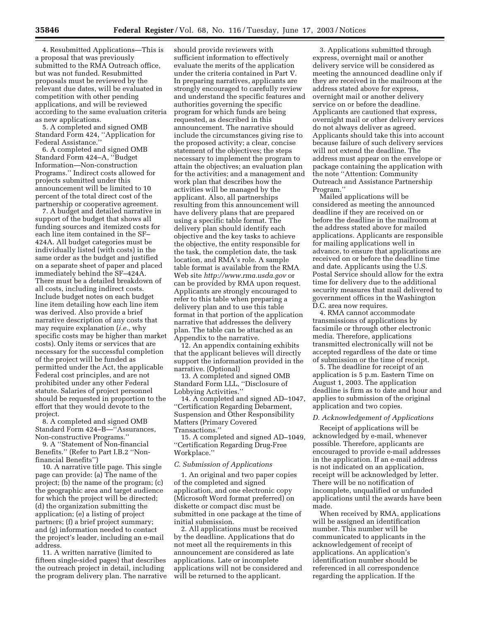4. Resubmitted Applications—This is a proposal that was previously submitted to the RMA Outreach office, but was not funded. Resubmitted proposals must be reviewed by the relevant due dates, will be evaluated in competition with other pending applications, and will be reviewed according to the same evaluation criteria as new applications.

5. A completed and signed OMB Standard Form 424, ''Application for Federal Assistance.''

6. A completed and signed OMB Standard Form 424–A, ''Budget Information—Non-construction Programs.'' Indirect costs allowed for projects submitted under this announcement will be limited to 10 percent of the total direct cost of the partnership or cooperative agreement.

7. A budget and detailed narrative in support of the budget that shows all funding sources and itemized costs for each line item contained in the SF– 424A. All budget categories must be individually listed (with costs) in the same order as the budget and justified on a separate sheet of paper and placed immediately behind the SF–424A. There must be a detailed breakdown of all costs, including indirect costs. Include budget notes on each budget line item detailing how each line item was derived. Also provide a brief narrative description of any costs that may require explanation (*i.e.,* why specific costs may be higher than market costs). Only items or services that are necessary for the successful completion of the project will be funded as permitted under the Act, the applicable Federal cost principles, and are not prohibited under any other Federal statute. Salaries of project personnel should be requested in proportion to the effort that they would devote to the project.

8. A completed and signed OMB Standard Form 424–B—''Assurances, Non-constructive Programs.''

9. A ''Statement of Non-financial Benefits.'' (Refer to Part I.B.2 ''Nonfinancial Benefits'')

10. A narrative title page. This single page can provide: (a) The name of the project; (b) the name of the program; (c) the geographic area and target audience for which the project will be directed; (d) the organization submitting the application; (e) a listing of project partners; (f) a brief project summary; and (g) information needed to contact the project's leader, including an e-mail address.

11. A written narrative (limited to fifteen single-sided pages) that describes the outreach project in detail, including the program delivery plan. The narrative

should provide reviewers with sufficient information to effectively evaluate the merits of the application under the criteria contained in Part V. In preparing narratives, applicants are strongly encouraged to carefully review and understand the specific features and authorities governing the specific program for which funds are being requested, as described in this announcement. The narrative should include the circumstances giving rise to the proposed activity; a clear, concise statement of the objectives; the steps necessary to implement the program to attain the objectives; an evaluation plan for the activities; and a management and work plan that describes how the activities will be managed by the applicant. Also, all partnerships resulting from this announcement will have delivery plans that are prepared using a specific table format. The delivery plan should identify each objective and the key tasks to achieve the objective, the entity responsible for the task, the completion date, the task location, and RMA's role. A sample table format is available from the RMA Web site *http://www.rma.usda.gov* or can be provided by RMA upon request. Applicants are strongly encouraged to refer to this table when preparing a delivery plan and to use this table format in that portion of the application narrative that addresses the delivery plan. The table can be attached as an Appendix to the narrative.

12. An appendix containing exhibits that the applicant believes will directly support the information provided in the narrative. (Optional)

13. A completed and signed OMB Standard Form LLL, ''Disclosure of Lobbying Activities.''

14. A completed and signed AD–1047, ''Certification Regarding Debarment, Suspension and Other Responsibility Matters (Primary Covered Transactions.''

15. A completed and signed AD–1049, ''Certification Regarding Drug-Free Workplace.''

#### *C. Submission of Applications*

1. An original and two paper copies of the completed and signed application, and one electronic copy (Microsoft Word format preferred) on diskette or compact disc must be submitted in one package at the time of initial submission.

2. All applications must be received by the deadline. Applications that do not meet all the requirements in this announcement are considered as late applications. Late or incomplete applications will not be considered and will be returned to the applicant.

3. Applications submitted through express, overnight mail or another delivery service will be considered as meeting the announced deadline only if they are received in the mailroom at the address stated above for express, overnight mail or another delivery service on or before the deadline. Applicants are cautioned that express, overnight mail or other delivery services do not always deliver as agreed. Applicants should take this into account because failure of such delivery services will not extend the deadline. The address must appear on the envelope or package containing the application with the note ''Attention: Community Outreach and Assistance Partnership Program.''

Mailed applications will be considered as meeting the announced deadline if they are received on or before the deadline in the mailroom at the address stated above for mailed applications. Applicants are responsible for mailing applications well in advance, to ensure that applications are received on or before the deadline time and date. Applicants using the U.S. Postal Service should allow for the extra time for delivery due to the additional security measures that mail delivered to government offices in the Washington D.C. area now requires.

4. RMA cannot accommodate transmissions of applications by facsimile or through other electronic media. Therefore, applications transmitted electronically will not be accepted regardless of the date or time of submission or the time of receipt.

5. The deadline for receipt of an application is 5 p.m. Eastern Time on August 1, 2003. The application deadline is firm as to date and hour and applies to submission of the original application and two copies.

#### *D. Acknowledgement of Applications*

Receipt of applications will be acknowledged by e-mail, whenever possible. Therefore, applicants are encouraged to provide e-mail addresses in the application. If an e-mail address is not indicated on an application, receipt will be acknowledged by letter. There will be no notification of incomplete, unqualified or unfunded applications until the awards have been made.

When received by RMA, applications will be assigned an identification number. This number will be communicated to applicants in the acknowledgement of receipt of applications. An application's identification number should be referenced in all correspondence regarding the application. If the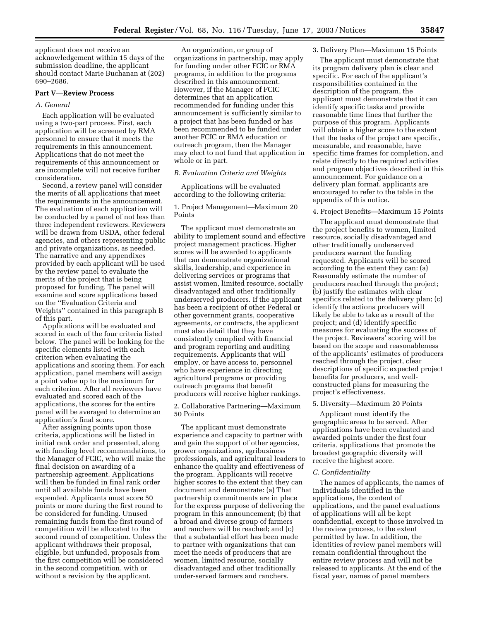applicant does not receive an acknowledgement within 15 days of the submission deadline, the applicant should contact Marie Buchanan at (202) 690–2686.

### **Part V—Review Process**

#### *A. General*

Each application will be evaluated using a two-part process. First, each application will be screened by RMA personnel to ensure that it meets the requirements in this announcement. Applications that do not meet the requirements of this announcement or are incomplete will not receive further consideration.

Second, a review panel will consider the merits of all applications that meet the requirements in the announcement. The evaluation of each application will be conducted by a panel of not less than three independent reviewers. Reviewers will be drawn from USDA, other federal agencies, and others representing public and private organizations, as needed. The narrative and any appendixes provided by each applicant will be used by the review panel to evaluate the merits of the project that is being proposed for funding. The panel will examine and score applications based on the ''Evaluation Criteria and Weights'' contained in this paragraph B of this part.

Applications will be evaluated and scored in each of the four criteria listed below. The panel will be looking for the specific elements listed with each criterion when evaluating the applications and scoring them. For each application, panel members will assign a point value up to the maximum for each criterion. After all reviewers have evaluated and scored each of the applications, the scores for the entire panel will be averaged to determine an application's final score.

After assigning points upon those criteria, applications will be listed in initial rank order and presented, along with funding level recommendations, to the Manager of FCIC, who will make the final decision on awarding of a partnership agreement. Applications will then be funded in final rank order until all available funds have been expended. Applicants must score 50 points or more during the first round to be considered for funding. Unused remaining funds from the first round of competition will be allocated to the second round of competition. Unless the applicant withdraws their proposal, eligible, but unfunded, proposals from the first competition will be considered in the second competition, with or without a revision by the applicant.

An organization, or group of organizations in partnership, may apply for funding under other FCIC or RMA programs, in addition to the programs described in this announcement. However, if the Manager of FCIC determines that an application recommended for funding under this announcement is sufficiently similar to a project that has been funded or has been recommended to be funded under another FCIC or RMA education or outreach program, then the Manager may elect to not fund that application in whole or in part.

### *B. Evaluation Criteria and Weights*

Applications will be evaluated according to the following criteria:

## 1. Project Management—Maximum 20 Points

The applicant must demonstrate an ability to implement sound and effective project management practices. Higher scores will be awarded to applicants that can demonstrate organizational skills, leadership, and experience in delivering services or programs that assist women, limited resource, socially disadvantaged and other traditionally underserved producers. If the applicant has been a recipient of other Federal or other government grants, cooperative agreements, or contracts, the applicant must also detail that they have consistently complied with financial and program reporting and auditing requirements. Applicants that will employ, or have access to, personnel who have experience in directing agricultural programs or providing outreach programs that benefit producers will receive higher rankings.

### 2. Collaborative Partnering—Maximum 50 Points

The applicant must demonstrate experience and capacity to partner with and gain the support of other agencies, grower organizations, agribusiness professionals, and agricultural leaders to enhance the quality and effectiveness of the program. Applicants will receive higher scores to the extent that they can document and demonstrate: (a) That partnership commitments are in place for the express purpose of delivering the program in this announcement; (b) that a broad and diverse group of farmers and ranchers will be reached; and (c) that a substantial effort has been made to partner with organizations that can meet the needs of producers that are women, limited resource, socially disadvantaged and other traditionally under-served farmers and ranchers.

#### 3. Delivery Plan—Maximum 15 Points

The applicant must demonstrate that its program delivery plan is clear and specific. For each of the applicant's responsibilities contained in the description of the program, the applicant must demonstrate that it can identify specific tasks and provide reasonable time lines that further the purpose of this program. Applicants will obtain a higher score to the extent that the tasks of the project are specific, measurable, and reasonable, have specific time frames for completion, and relate directly to the required activities and program objectives described in this announcement. For guidance on a delivery plan format, applicants are encouraged to refer to the table in the appendix of this notice.

### 4. Project Benefits—Maximum 15 Points

The applicant must demonstrate that the project benefits to women, limited resource, socially disadvantaged and other traditionally underserved producers warrant the funding requested. Applicants will be scored according to the extent they can: (a) Reasonably estimate the number of producers reached through the project; (b) justify the estimates with clear specifics related to the delivery plan; (c) identify the actions producers will likely be able to take as a result of the project; and (d) identify specific measures for evaluating the success of the project. Reviewers' scoring will be based on the scope and reasonableness of the applicants' estimates of producers reached through the project, clear descriptions of specific expected project benefits for producers, and wellconstructed plans for measuring the project's effectiveness.

#### 5. Diversity—Maximum 20 Points

Applicant must identify the geographic areas to be served. After applications have been evaluated and awarded points under the first four criteria, applications that promote the broadest geographic diversity will receive the highest score.

#### *C. Confidentiality*

The names of applicants, the names of individuals identified in the applications, the content of applications, and the panel evaluations of applications will all be kept confidential, except to those involved in the review process, to the extent permitted by law. In addition, the identities of review panel members will remain confidential throughout the entire review process and will not be released to applicants. At the end of the fiscal year, names of panel members